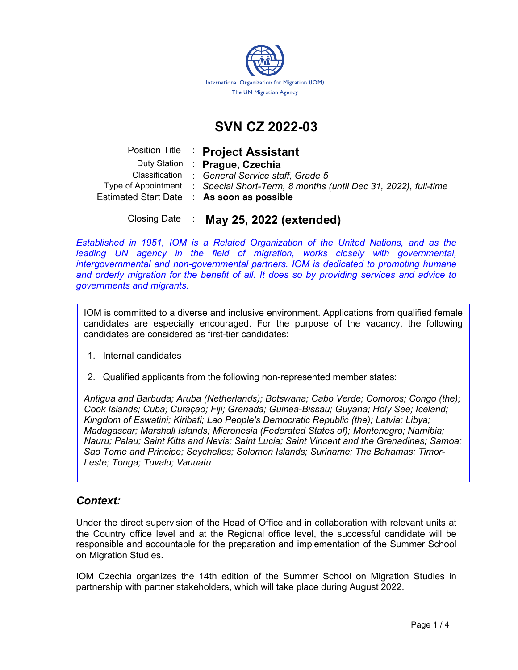

# SVN CZ 2022-03

|                     | Position Title : Project Assistant                             |
|---------------------|----------------------------------------------------------------|
|                     | Duty Station : Prague, Czechia                                 |
| Classification      | : General Service staff, Grade 5                               |
| Type of Appointment | : Special Short-Term, 8 months (until Dec 31, 2022), full-time |
|                     | Estimated Start Date : As soon as possible                     |
|                     |                                                                |

Closing Date : May 25, 2022 (extended)

Established in 1951, IOM is a Related Organization of the United Nations, and as the leading UN agency in the field of migration, works closely with governmental, intergovernmental and non-governmental partners. IOM is dedicated to promoting humane and orderly migration for the benefit of all. It does so by providing services and advice to governments and migrants.

IOM is committed to a diverse and inclusive environment. Applications from qualified female candidates are especially encouraged. For the purpose of the vacancy, the following candidates are considered as first-tier candidates:

- 1. Internal candidates
- 2. Qualified applicants from the following non-represented member states:

Antigua and Barbuda; Aruba (Netherlands); Botswana; Cabo Verde; Comoros; Congo (the); Cook Islands; Cuba; Curaçao; Fiji; Grenada; Guinea-Bissau; Guyana; Holy See; Iceland; Kingdom of Eswatini; Kiribati; Lao People's Democratic Republic (the); Latvia; Libya; Madagascar; Marshall Islands; Micronesia (Federated States of); Montenegro; Namibia; Nauru; Palau; Saint Kitts and Nevis; Saint Lucia; Saint Vincent and the Grenadines; Samoa; Sao Tome and Principe; Seychelles; Solomon Islands; Suriname; The Bahamas; Timor-Leste; Tonga; Tuvalu; Vanuatu

## Context:

Under the direct supervision of the Head of Office and in collaboration with relevant units at the Country office level and at the Regional office level, the successful candidate will be responsible and accountable for the preparation and implementation of the Summer School on Migration Studies.

IOM Czechia organizes the 14th edition of the Summer School on Migration Studies in partnership with partner stakeholders, which will take place during August 2022.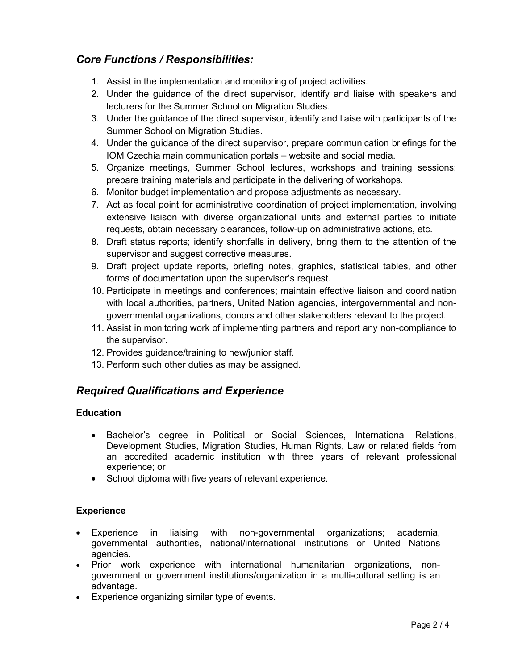# Core Functions / Responsibilities:

- 1. Assist in the implementation and monitoring of project activities.
- 2. Under the guidance of the direct supervisor, identify and liaise with speakers and lecturers for the Summer School on Migration Studies.
- 3. Under the guidance of the direct supervisor, identify and liaise with participants of the Summer School on Migration Studies.
- 4. Under the guidance of the direct supervisor, prepare communication briefings for the IOM Czechia main communication portals – website and social media.
- 5. Organize meetings, Summer School lectures, workshops and training sessions; prepare training materials and participate in the delivering of workshops.
- 6. Monitor budget implementation and propose adjustments as necessary.
- 7. Act as focal point for administrative coordination of project implementation, involving extensive liaison with diverse organizational units and external parties to initiate requests, obtain necessary clearances, follow-up on administrative actions, etc.
- 8. Draft status reports; identify shortfalls in delivery, bring them to the attention of the supervisor and suggest corrective measures.
- 9. Draft project update reports, briefing notes, graphics, statistical tables, and other forms of documentation upon the supervisor's request.
- 10. Participate in meetings and conferences; maintain effective liaison and coordination with local authorities, partners, United Nation agencies, intergovernmental and nongovernmental organizations, donors and other stakeholders relevant to the project.
- 11. Assist in monitoring work of implementing partners and report any non-compliance to the supervisor.
- 12. Provides guidance/training to new/junior staff.
- 13. Perform such other duties as may be assigned.

# Required Qualifications and Experience

## Education

- Bachelor's degree in Political or Social Sciences, International Relations, Development Studies, Migration Studies, Human Rights, Law or related fields from an accredited academic institution with three years of relevant professional experience; or
- School diploma with five years of relevant experience.

## Experience

- Experience in liaising with non-governmental organizations; academia, governmental authorities, national/international institutions or United Nations agencies.
- Prior work experience with international humanitarian organizations, nongovernment or government institutions/organization in a multi-cultural setting is an advantage.
- Experience organizing similar type of events.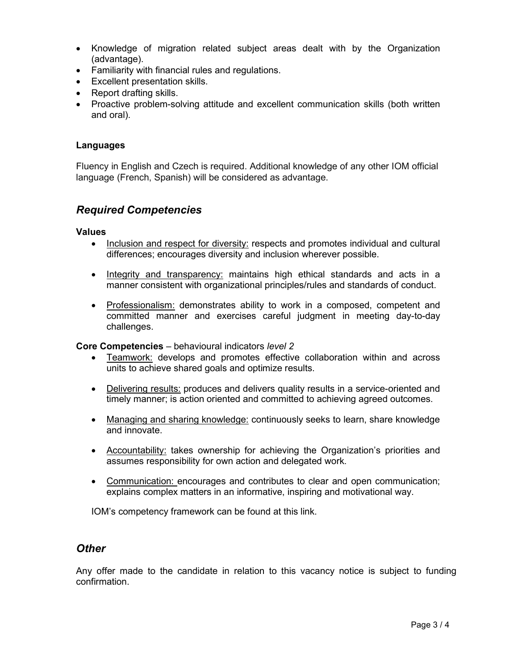- Knowledge of migration related subject areas dealt with by the Organization (advantage).
- Familiarity with financial rules and regulations.
- Excellent presentation skills.
- Report drafting skills.
- Proactive problem-solving attitude and excellent communication skills (both written and oral).

### Languages

Fluency in English and Czech is required. Additional knowledge of any other IOM official language (French, Spanish) will be considered as advantage.

## Required Competencies

#### Values

- Inclusion and respect for diversity: respects and promotes individual and cultural differences; encourages diversity and inclusion wherever possible.
- Integrity and transparency: maintains high ethical standards and acts in a manner consistent with organizational principles/rules and standards of conduct.
- Professionalism: demonstrates ability to work in a composed, competent and committed manner and exercises careful judgment in meeting day-to-day challenges.

### Core Competencies – behavioural indicators level 2

- Teamwork: develops and promotes effective collaboration within and across units to achieve shared goals and optimize results.
- Delivering results: produces and delivers quality results in a service-oriented and timely manner; is action oriented and committed to achieving agreed outcomes.
- Managing and sharing knowledge: continuously seeks to learn, share knowledge and innovate.
- Accountability: takes ownership for achieving the Organization's priorities and assumes responsibility for own action and delegated work.
- Communication: encourages and contributes to clear and open communication; explains complex matters in an informative, inspiring and motivational way.

IOM's competency framework can be found at this link.

### **Other**

Any offer made to the candidate in relation to this vacancy notice is subject to funding confirmation.